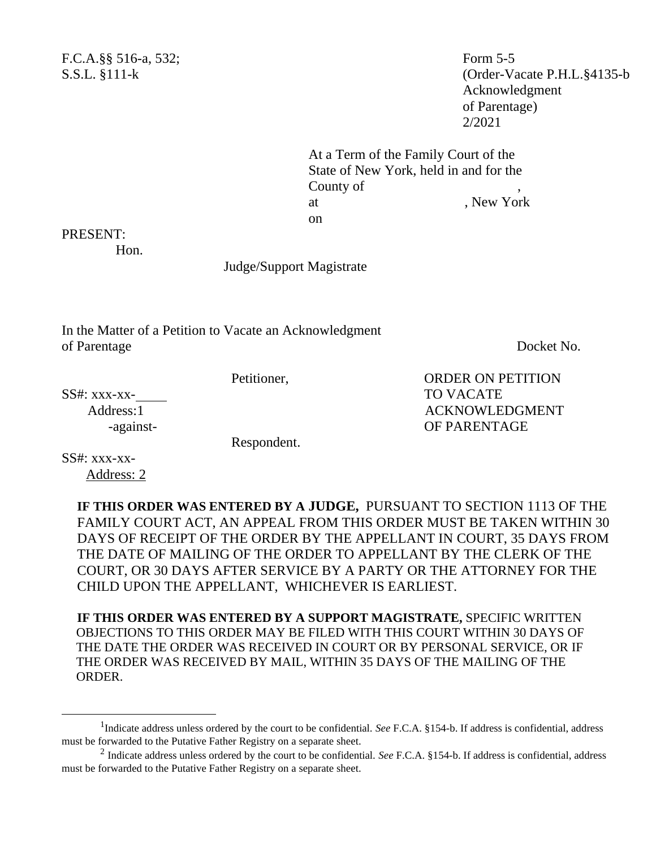F.C.A.§§ 516-a, 532; Form 5-5

S.S.L. §111-k (Order-Vacate P.H.L.§4135-b Acknowledgment of Parentage) 2/2021

> At a Term of the Family Court of the State of New York, held in and for the County of at the set of the New York contract the New York contract of the New York contract the New York contract of the New York contract of the New York contract of the New York contract of the New York contract of the New York c on

## PRESENT:

Hon.

Judge/Support Magistrate

In the Matter of a Petition to Vacate an Acknowledgment of Parentage Docket No.

Petitioner, ORDER ON PETITION

SS#: xxx-xx- TO VACATE

Respondent.

Address:1 ACKNOWLEDGMENT -against-<br>
OF PARENTAGE

SS#: xxx-xx- Address: 2

> **IF THIS ORDER WAS ENTERED BY A JUDGE,** PURSUANT TO SECTION 1113 OF THE FAMILY COURT ACT, AN APPEAL FROM THIS ORDER MUST BE TAKEN WITHIN 30 DAYS OF RECEIPT OF THE ORDER BY THE APPELLANT IN COURT, 35 DAYS FROM THE DATE OF MAILING OF THE ORDER TO APPELLANT BY THE CLERK OF THE COURT, OR 30 DAYS AFTER SERVICE BY A PARTY OR THE ATTORNEY FOR THE CHILD UPON THE APPELLANT, WHICHEVER IS EARLIEST.

**IF THIS ORDER WAS ENTERED BY A SUPPORT MAGISTRATE,** SPECIFIC WRITTEN OBJECTIONS TO THIS ORDER MAY BE FILED WITH THIS COURT WITHIN 30 DAYS OF THE DATE THE ORDER WAS RECEIVED IN COURT OR BY PERSONAL SERVICE, OR IF THE ORDER WAS RECEIVED BY MAIL, WITHIN 35 DAYS OF THE MAILING OF THE ORDER.

<sup>&</sup>lt;sup>1</sup>Indicate address unless ordered by the court to be confidential. *See* F.C.A. §154-b. If address is confidential, address must be forwarded to the Putative Father Registry on a separate sheet.

<sup>2</sup> Indicate address unless ordered by the court to be confidential. *See* F.C.A. §154-b. If address is confidential, address must be forwarded to the Putative Father Registry on a separate sheet.